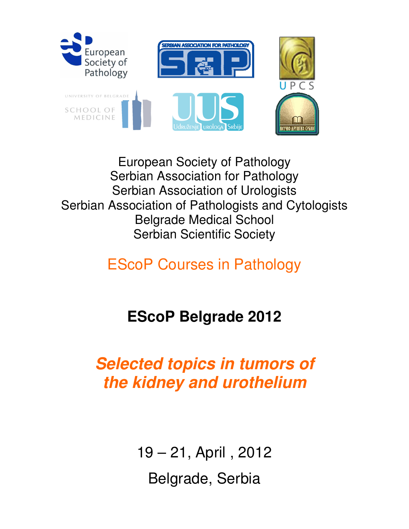

European Society of Pathology Serbian Association for Pathology Serbian Association of Urologists Serbian Association of Pathologists and Cytologists Belgrade Medical School Serbian Scientific Society

### EScoP Courses in Pathology

## **EScoP Belgrade 2012**

## **Selected topics in tumors of the kidney and urothelium**

19 – 21, April , 2012 Belgrade, Serbia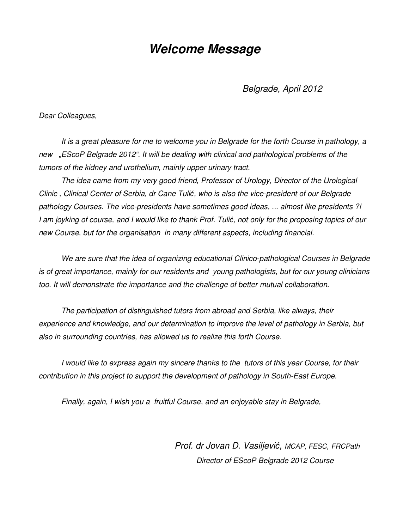#### **Welcome Message**

Belgrade, April 2012

Dear Colleagues,

It is a great pleasure for me to welcome you in Belgrade for the forth Course in pathology, a new "EScoP Belgrade 2012". It will be dealing with clinical and pathological problems of the tumors of the kidney and urothelium, mainly upper urinary tract.

The idea came from my very good friend, Professor of Urology, Director of the Urological Clinic , Clinical Center of Serbia, dr Cane Tulić, who is also the vice-president of our Belgrade pathology Courses. The vice-presidents have sometimes good ideas, ... almost like presidents ?! I am joyking of course, and I would like to thank Prof. Tulić, not only for the proposing topics of our new Course, but for the organisation in many different aspects, including financial.

We are sure that the idea of organizing educational Clinico-pathological Courses in Belgrade is of great importance, mainly for our residents and young pathologists, but for our young clinicians too. It will demonstrate the importance and the challenge of better mutual collaboration.

The participation of distinguished tutors from abroad and Serbia, like always, their experience and knowledge, and our determination to improve the level of pathology in Serbia, but also in surrounding countries, has allowed us to realize this forth Course.

I would like to express again my sincere thanks to the tutors of this year Course, for their contribution in this project to support the development of pathology in South-East Europe.

Finally, again, I wish you a fruitful Course, and an enjoyable stay in Belgrade,

 Prof. dr Jovan D. Vasiljević, MCAP, FESC, FRCPath Director of EScoP Belgrade 2012 Course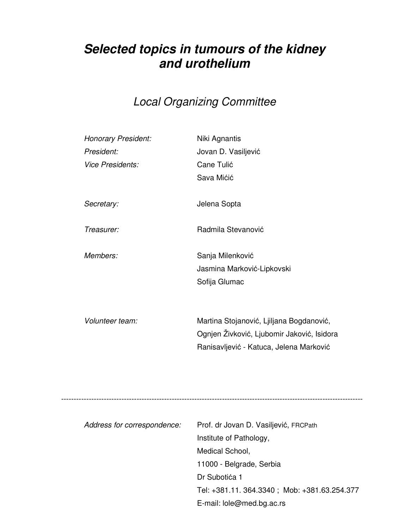#### **Selected topics in tumours of the kidney and urothelium**

#### Local Organizing Committee

| Honorary President:<br>President: | Niki Agnantis                              |
|-----------------------------------|--------------------------------------------|
| <b>Vice Presidents:</b>           | Jovan D. Vasiljević<br>Cane Tulić          |
|                                   | Sava Mićić                                 |
|                                   |                                            |
| Secretary:                        | Jelena Sopta                               |
|                                   |                                            |
| Treasurer:                        | Radmila Stevanović                         |
|                                   |                                            |
| Members:                          | Sanja Milenković                           |
|                                   | Jasmina Marković-Lipkovski                 |
|                                   | Sofija Glumac                              |
|                                   |                                            |
| Volunteer team:                   | Martina Stojanović, Ljiljana Bogdanović,   |
|                                   | Ognjen Živković, Ljubomir Jaković, Isidora |
|                                   | Ranisavljević - Katuca, Jelena Marković    |
|                                   |                                            |
|                                   |                                            |
|                                   |                                            |
|                                   |                                            |
| Address for correspondence:       | Prof. dr Jovan D. Vasiljević, FRCPath      |
|                                   | Institute of Pathology,                    |
|                                   | Medical School,                            |
|                                   | 11000 - Belgrade, Serbia                   |

 Dr Subotića 1 Tel: +381.11. 364.3340 ; Mob: +381.63.254.377 E-mail: lole@med.bg.ac.rs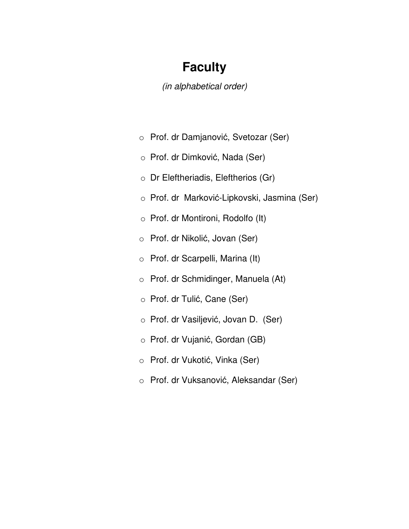#### **Faculty**

(in alphabetical order)

- o Prof. dr Damjanović, Svetozar (Ser)
- o Prof. dr Dimković, Nada (Ser)
- o Dr Eleftheriadis, Eleftherios (Gr)
- o Prof. dr Marković-Lipkovski, Jasmina (Ser)
- o Prof. dr Montironi, Rodolfo (It)
- o Prof. dr Nikolić, Jovan (Ser)
- o Prof. dr Scarpelli, Marina (It)
- o Prof. dr Schmidinger, Manuela (At)
- o Prof. dr Tulić, Cane (Ser)
- o Prof. dr Vasiljević, Jovan D. (Ser)
- o Prof. dr Vujanić, Gordan (GB)
- o Prof. dr Vukotić, Vinka (Ser)
- o Prof. dr Vuksanović, Aleksandar (Ser)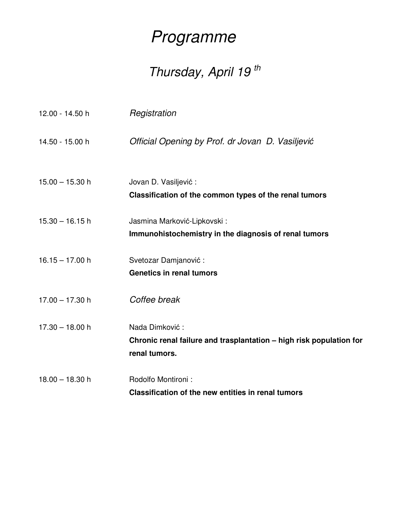## Programme

# Thursday, April 19<sup>th</sup>

| 12.00 - 14.50 h   | Registration                                                                                           |
|-------------------|--------------------------------------------------------------------------------------------------------|
| 14.50 - 15.00 h   | Official Opening by Prof. dr Jovan D. Vasiljević                                                       |
| $15.00 - 15.30$ h | Jovan D. Vasiljević:<br>Classification of the common types of the renal tumors                         |
| $15.30 - 16.15$ h | Jasmina Marković-Lipkovski:<br>Immunohistochemistry in the diagnosis of renal tumors                   |
| $16.15 - 17.00 h$ | Svetozar Damjanović:<br><b>Genetics in renal tumors</b>                                                |
| $17.00 - 17.30$ h | Coffee break                                                                                           |
| $17.30 - 18.00$ h | Nada Dimković:<br>Chronic renal failure and trasplantation - high risk population for<br>renal tumors. |
| $18.00 - 18.30$ h | Rodolfo Montironi:<br>Classification of the new entities in renal tumors                               |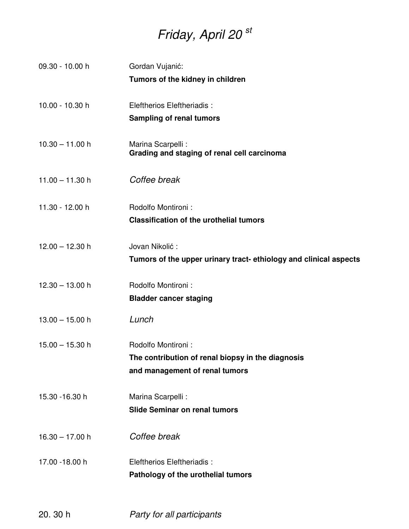## Friday, April 20 st

| 09.30 - 10.00 h   | Gordan Vujanić:<br>Tumors of the kidney in children                                                       |
|-------------------|-----------------------------------------------------------------------------------------------------------|
| 10.00 - 10.30 h   | Eleftherios Eleftheriadis:<br><b>Sampling of renal tumors</b>                                             |
| $10.30 - 11.00 h$ | Marina Scarpelli :<br>Grading and staging of renal cell carcinoma                                         |
| $11.00 - 11.30$ h | Coffee break                                                                                              |
| 11.30 - 12.00 h   | Rodolfo Montironi:<br><b>Classification of the urothelial tumors</b>                                      |
| $12.00 - 12.30$ h | Jovan Nikolić:<br>Tumors of the upper urinary tract- ethiology and clinical aspects                       |
| $12.30 - 13.00$ h | Rodolfo Montironi:<br><b>Bladder cancer staging</b>                                                       |
| $13.00 - 15.00$ h | Lunch                                                                                                     |
| $15.00 - 15.30$ h | Rodolfo Montironi:<br>The contribution of renal biopsy in the diagnosis<br>and management of renal tumors |
| 15.30 - 16.30 h   | Marina Scarpelli :<br><b>Slide Seminar on renal tumors</b>                                                |
| $16.30 - 17.00 h$ | Coffee break                                                                                              |
| 17.00 - 18.00 h   | Eleftherios Eleftheriadis:<br>Pathology of the urothelial tumors                                          |

20. 30 h Party for all participants